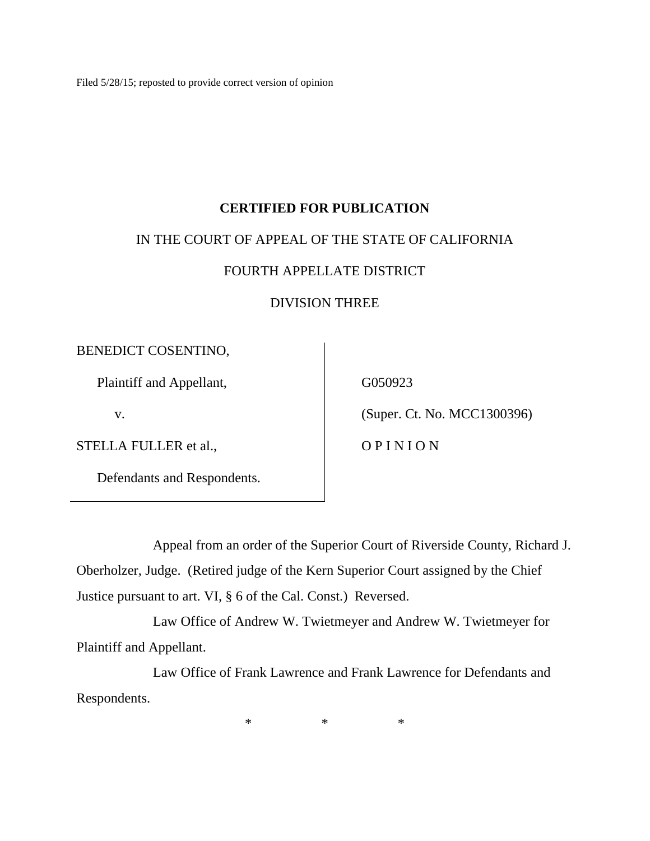Filed 5/28/15; reposted to provide correct version of opinion

## **CERTIFIED FOR PUBLICATION**

### IN THE COURT OF APPEAL OF THE STATE OF CALIFORNIA

## FOURTH APPELLATE DISTRICT

## DIVISION THREE

### BENEDICT COSENTINO,

Plaintiff and Appellant,

v.

STELLA FULLER et al.,

Defendants and Respondents.

G050923

(Super. Ct. No. MCC1300396)

O P I N I O N

Appeal from an order of the Superior Court of Riverside County, Richard J. Oberholzer, Judge. (Retired judge of the Kern Superior Court assigned by the Chief Justice pursuant to art. VI, § 6 of the Cal. Const.) Reversed.

Law Office of Andrew W. Twietmeyer and Andrew W. Twietmeyer for Plaintiff and Appellant.

Law Office of Frank Lawrence and Frank Lawrence for Defendants and Respondents.

\* \* \*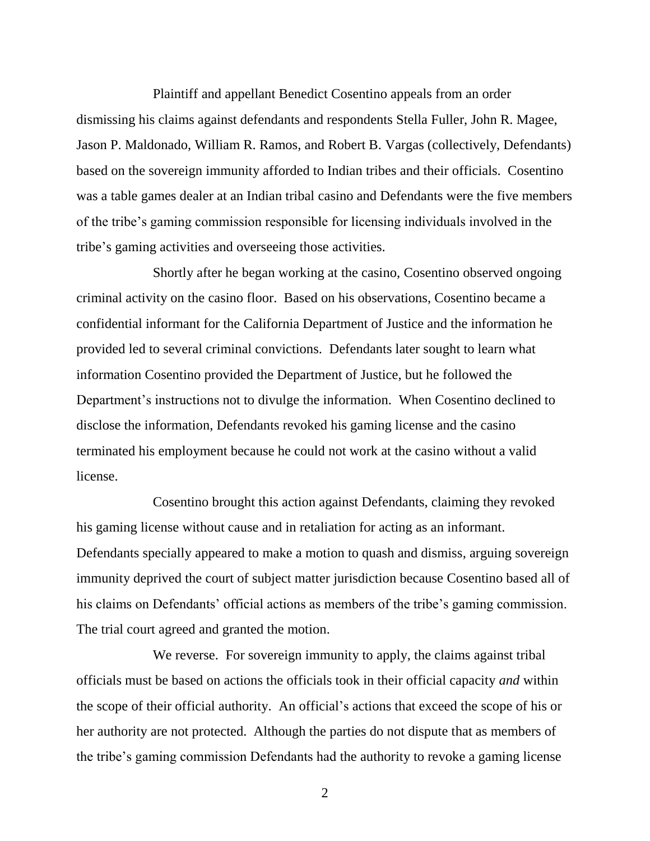Plaintiff and appellant Benedict Cosentino appeals from an order dismissing his claims against defendants and respondents Stella Fuller, John R. Magee, Jason P. Maldonado, William R. Ramos, and Robert B. Vargas (collectively, Defendants) based on the sovereign immunity afforded to Indian tribes and their officials. Cosentino was a table games dealer at an Indian tribal casino and Defendants were the five members of the tribe's gaming commission responsible for licensing individuals involved in the tribe's gaming activities and overseeing those activities.

Shortly after he began working at the casino, Cosentino observed ongoing criminal activity on the casino floor. Based on his observations, Cosentino became a confidential informant for the California Department of Justice and the information he provided led to several criminal convictions. Defendants later sought to learn what information Cosentino provided the Department of Justice, but he followed the Department's instructions not to divulge the information. When Cosentino declined to disclose the information, Defendants revoked his gaming license and the casino terminated his employment because he could not work at the casino without a valid license.

Cosentino brought this action against Defendants, claiming they revoked his gaming license without cause and in retaliation for acting as an informant. Defendants specially appeared to make a motion to quash and dismiss, arguing sovereign immunity deprived the court of subject matter jurisdiction because Cosentino based all of his claims on Defendants' official actions as members of the tribe's gaming commission. The trial court agreed and granted the motion.

We reverse. For sovereign immunity to apply, the claims against tribal officials must be based on actions the officials took in their official capacity *and* within the scope of their official authority. An official's actions that exceed the scope of his or her authority are not protected. Although the parties do not dispute that as members of the tribe's gaming commission Defendants had the authority to revoke a gaming license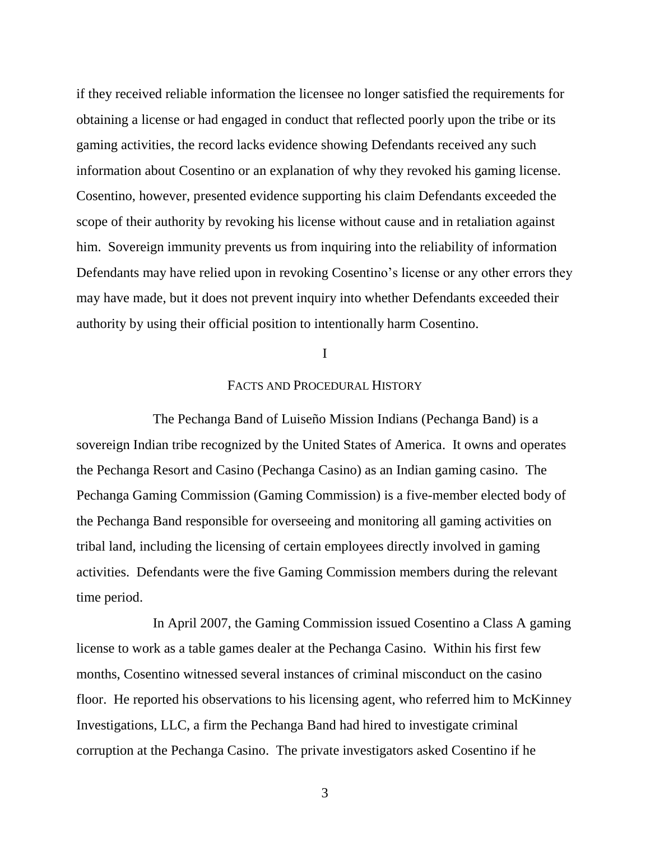if they received reliable information the licensee no longer satisfied the requirements for obtaining a license or had engaged in conduct that reflected poorly upon the tribe or its gaming activities, the record lacks evidence showing Defendants received any such information about Cosentino or an explanation of why they revoked his gaming license. Cosentino, however, presented evidence supporting his claim Defendants exceeded the scope of their authority by revoking his license without cause and in retaliation against him. Sovereign immunity prevents us from inquiring into the reliability of information Defendants may have relied upon in revoking Cosentino's license or any other errors they may have made, but it does not prevent inquiry into whether Defendants exceeded their authority by using their official position to intentionally harm Cosentino.

#### I

### FACTS AND PROCEDURAL HISTORY

The Pechanga Band of Luiseño Mission Indians (Pechanga Band) is a sovereign Indian tribe recognized by the United States of America. It owns and operates the Pechanga Resort and Casino (Pechanga Casino) as an Indian gaming casino. The Pechanga Gaming Commission (Gaming Commission) is a five-member elected body of the Pechanga Band responsible for overseeing and monitoring all gaming activities on tribal land, including the licensing of certain employees directly involved in gaming activities. Defendants were the five Gaming Commission members during the relevant time period.

In April 2007, the Gaming Commission issued Cosentino a Class A gaming license to work as a table games dealer at the Pechanga Casino. Within his first few months, Cosentino witnessed several instances of criminal misconduct on the casino floor. He reported his observations to his licensing agent, who referred him to McKinney Investigations, LLC, a firm the Pechanga Band had hired to investigate criminal corruption at the Pechanga Casino. The private investigators asked Cosentino if he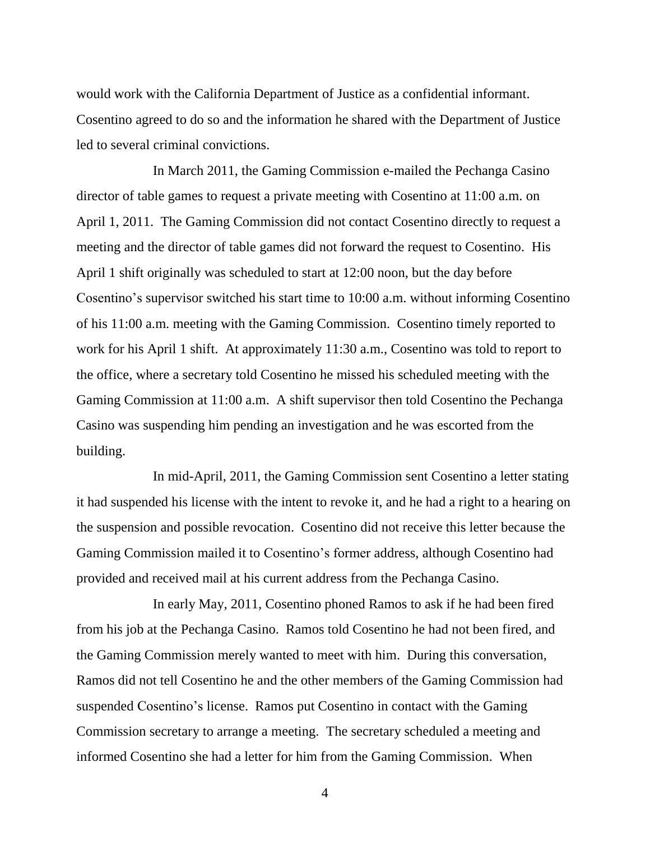would work with the California Department of Justice as a confidential informant. Cosentino agreed to do so and the information he shared with the Department of Justice led to several criminal convictions.

In March 2011, the Gaming Commission e-mailed the Pechanga Casino director of table games to request a private meeting with Cosentino at 11:00 a.m. on April 1, 2011. The Gaming Commission did not contact Cosentino directly to request a meeting and the director of table games did not forward the request to Cosentino. His April 1 shift originally was scheduled to start at 12:00 noon, but the day before Cosentino's supervisor switched his start time to 10:00 a.m. without informing Cosentino of his 11:00 a.m. meeting with the Gaming Commission. Cosentino timely reported to work for his April 1 shift. At approximately 11:30 a.m., Cosentino was told to report to the office, where a secretary told Cosentino he missed his scheduled meeting with the Gaming Commission at 11:00 a.m. A shift supervisor then told Cosentino the Pechanga Casino was suspending him pending an investigation and he was escorted from the building.

In mid-April, 2011, the Gaming Commission sent Cosentino a letter stating it had suspended his license with the intent to revoke it, and he had a right to a hearing on the suspension and possible revocation. Cosentino did not receive this letter because the Gaming Commission mailed it to Cosentino's former address, although Cosentino had provided and received mail at his current address from the Pechanga Casino.

In early May, 2011, Cosentino phoned Ramos to ask if he had been fired from his job at the Pechanga Casino. Ramos told Cosentino he had not been fired, and the Gaming Commission merely wanted to meet with him. During this conversation, Ramos did not tell Cosentino he and the other members of the Gaming Commission had suspended Cosentino's license. Ramos put Cosentino in contact with the Gaming Commission secretary to arrange a meeting. The secretary scheduled a meeting and informed Cosentino she had a letter for him from the Gaming Commission. When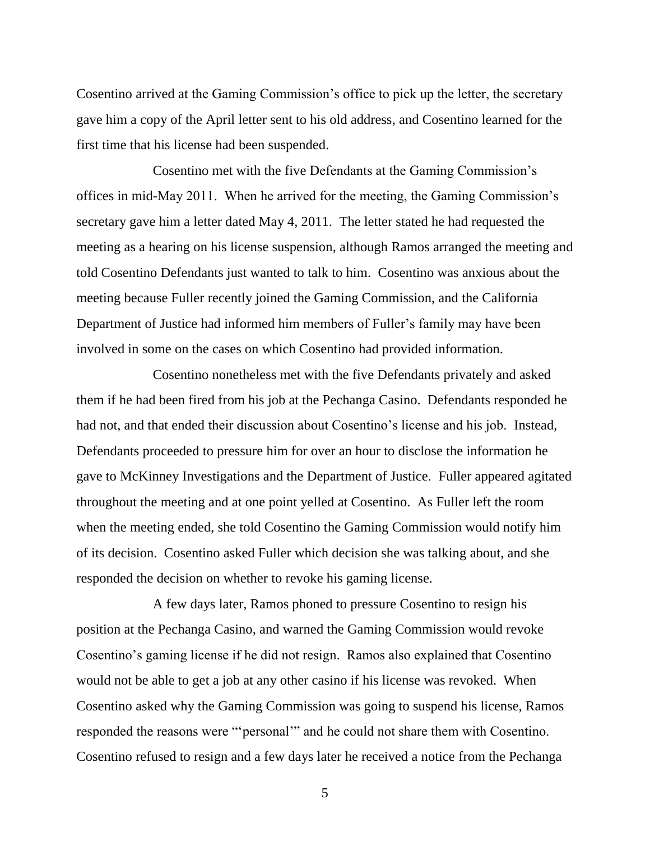Cosentino arrived at the Gaming Commission's office to pick up the letter, the secretary gave him a copy of the April letter sent to his old address, and Cosentino learned for the first time that his license had been suspended.

Cosentino met with the five Defendants at the Gaming Commission's offices in mid-May 2011. When he arrived for the meeting, the Gaming Commission's secretary gave him a letter dated May 4, 2011. The letter stated he had requested the meeting as a hearing on his license suspension, although Ramos arranged the meeting and told Cosentino Defendants just wanted to talk to him. Cosentino was anxious about the meeting because Fuller recently joined the Gaming Commission, and the California Department of Justice had informed him members of Fuller's family may have been involved in some on the cases on which Cosentino had provided information.

Cosentino nonetheless met with the five Defendants privately and asked them if he had been fired from his job at the Pechanga Casino. Defendants responded he had not, and that ended their discussion about Cosentino's license and his job. Instead, Defendants proceeded to pressure him for over an hour to disclose the information he gave to McKinney Investigations and the Department of Justice. Fuller appeared agitated throughout the meeting and at one point yelled at Cosentino. As Fuller left the room when the meeting ended, she told Cosentino the Gaming Commission would notify him of its decision. Cosentino asked Fuller which decision she was talking about, and she responded the decision on whether to revoke his gaming license.

A few days later, Ramos phoned to pressure Cosentino to resign his position at the Pechanga Casino, and warned the Gaming Commission would revoke Cosentino's gaming license if he did not resign. Ramos also explained that Cosentino would not be able to get a job at any other casino if his license was revoked. When Cosentino asked why the Gaming Commission was going to suspend his license, Ramos responded the reasons were "'personal'" and he could not share them with Cosentino. Cosentino refused to resign and a few days later he received a notice from the Pechanga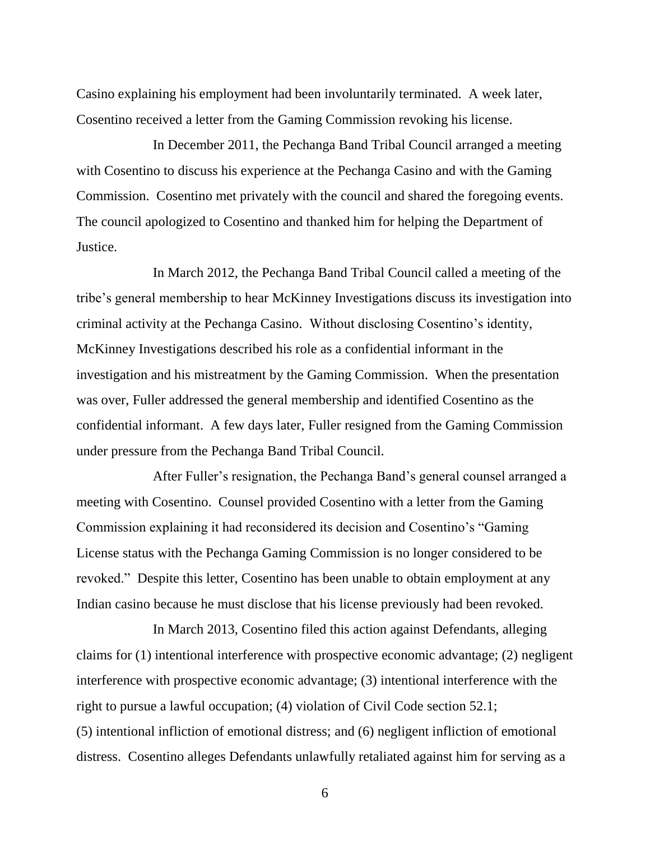Casino explaining his employment had been involuntarily terminated. A week later, Cosentino received a letter from the Gaming Commission revoking his license.

In December 2011, the Pechanga Band Tribal Council arranged a meeting with Cosentino to discuss his experience at the Pechanga Casino and with the Gaming Commission. Cosentino met privately with the council and shared the foregoing events. The council apologized to Cosentino and thanked him for helping the Department of Justice.

In March 2012, the Pechanga Band Tribal Council called a meeting of the tribe's general membership to hear McKinney Investigations discuss its investigation into criminal activity at the Pechanga Casino. Without disclosing Cosentino's identity, McKinney Investigations described his role as a confidential informant in the investigation and his mistreatment by the Gaming Commission. When the presentation was over, Fuller addressed the general membership and identified Cosentino as the confidential informant. A few days later, Fuller resigned from the Gaming Commission under pressure from the Pechanga Band Tribal Council.

After Fuller's resignation, the Pechanga Band's general counsel arranged a meeting with Cosentino. Counsel provided Cosentino with a letter from the Gaming Commission explaining it had reconsidered its decision and Cosentino's "Gaming License status with the Pechanga Gaming Commission is no longer considered to be revoked." Despite this letter, Cosentino has been unable to obtain employment at any Indian casino because he must disclose that his license previously had been revoked.

In March 2013, Cosentino filed this action against Defendants, alleging claims for (1) intentional interference with prospective economic advantage; (2) negligent interference with prospective economic advantage; (3) intentional interference with the right to pursue a lawful occupation; (4) violation of Civil Code section 52.1; (5) intentional infliction of emotional distress; and (6) negligent infliction of emotional distress. Cosentino alleges Defendants unlawfully retaliated against him for serving as a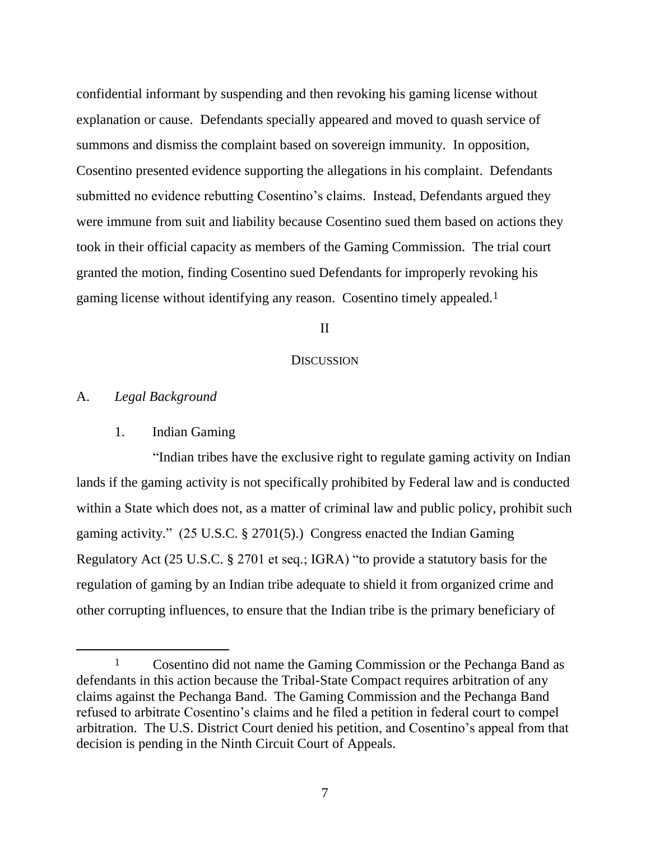confidential informant by suspending and then revoking his gaming license without explanation or cause. Defendants specially appeared and moved to quash service of summons and dismiss the complaint based on sovereign immunity. In opposition, Cosentino presented evidence supporting the allegations in his complaint. Defendants submitted no evidence rebutting Cosentino's claims. Instead, Defendants argued they were immune from suit and liability because Cosentino sued them based on actions they took in their official capacity as members of the Gaming Commission. The trial court granted the motion, finding Cosentino sued Defendants for improperly revoking his gaming license without identifying any reason. Cosentino timely appealed.1

#### II

#### **DISCUSSION**

### A. *Legal Background*

 $\overline{a}$ 

### 1. Indian Gaming

"Indian tribes have the exclusive right to regulate gaming activity on Indian lands if the gaming activity is not specifically prohibited by Federal law and is conducted within a State which does not, as a matter of criminal law and public policy, prohibit such gaming activity." (25 U.S.C. § 2701(5).) Congress enacted the Indian Gaming Regulatory Act (25 U.S.C. § 2701 et seq.; IGRA) "to provide a statutory basis for the regulation of gaming by an Indian tribe adequate to shield it from organized crime and other corrupting influences, to ensure that the Indian tribe is the primary beneficiary of

<sup>&</sup>lt;sup>1</sup> Cosentino did not name the Gaming Commission or the Pechanga Band as defendants in this action because the Tribal-State Compact requires arbitration of any claims against the Pechanga Band. The Gaming Commission and the Pechanga Band refused to arbitrate Cosentino's claims and he filed a petition in federal court to compel arbitration. The U.S. District Court denied his petition, and Cosentino's appeal from that decision is pending in the Ninth Circuit Court of Appeals.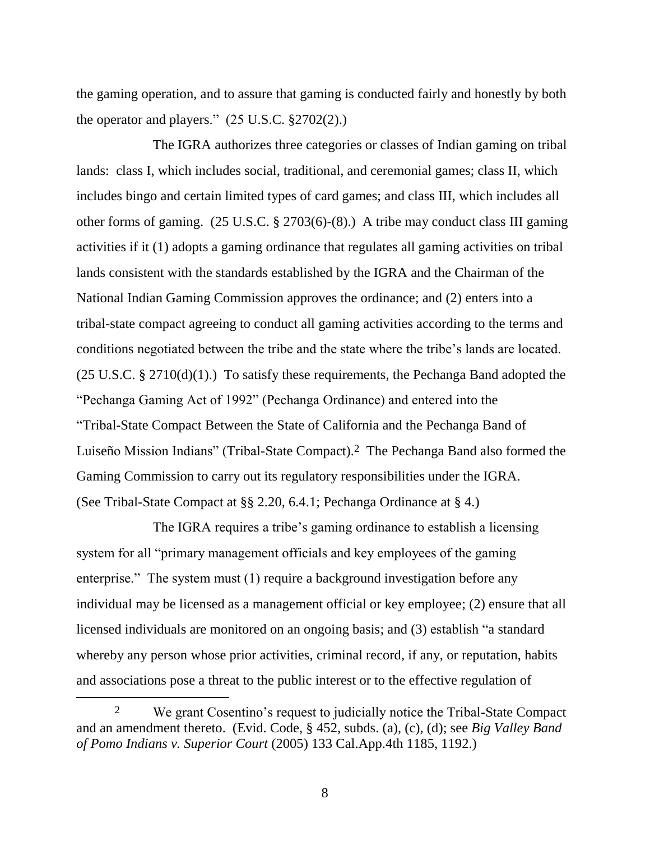the gaming operation, and to assure that gaming is conducted fairly and honestly by both the operator and players."  $(25 \text{ U.S.C. } §2702(2))$ .

The IGRA authorizes three categories or classes of Indian gaming on tribal lands: class I, which includes social, traditional, and ceremonial games; class II, which includes bingo and certain limited types of card games; and class III, which includes all other forms of gaming. (25 U.S.C. § 2703(6)-(8).) A tribe may conduct class III gaming activities if it (1) adopts a gaming ordinance that regulates all gaming activities on tribal lands consistent with the standards established by the IGRA and the Chairman of the National Indian Gaming Commission approves the ordinance; and (2) enters into a tribal-state compact agreeing to conduct all gaming activities according to the terms and conditions negotiated between the tribe and the state where the tribe's lands are located.  $(25 \text{ U.S.C.} \S 2710(d)(1))$ . To satisfy these requirements, the Pechanga Band adopted the "Pechanga Gaming Act of 1992" (Pechanga Ordinance) and entered into the "Tribal-State Compact Between the State of California and the Pechanga Band of Luiseño Mission Indians" (Tribal-State Compact).2 The Pechanga Band also formed the Gaming Commission to carry out its regulatory responsibilities under the IGRA. (See Tribal-State Compact at §§ 2.20, 6.4.1; Pechanga Ordinance at § 4.)

The IGRA requires a tribe's gaming ordinance to establish a licensing system for all "primary management officials and key employees of the gaming enterprise." The system must (1) require a background investigation before any individual may be licensed as a management official or key employee; (2) ensure that all licensed individuals are monitored on an ongoing basis; and (3) establish "a standard whereby any person whose prior activities, criminal record, if any, or reputation, habits and associations pose a threat to the public interest or to the effective regulation of

<sup>&</sup>lt;sup>2</sup> We grant Cosentino's request to judicially notice the Tribal-State Compact and an amendment thereto. (Evid. Code, § 452, subds. (a), (c), (d); see *Big Valley Band of Pomo Indians v. Superior Court* (2005) 133 Cal.App.4th 1185, 1192.)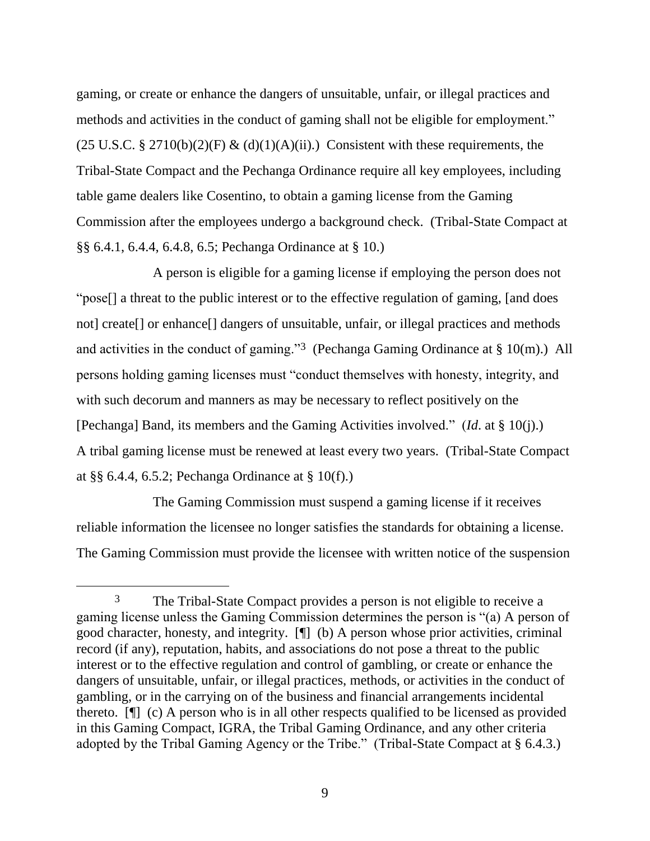gaming, or create or enhance the dangers of unsuitable, unfair, or illegal practices and methods and activities in the conduct of gaming shall not be eligible for employment."  $(25 \text{ U.S.C.} \S 2710(b)(2)(F) \& (d)(1)(A)(ii))$ . Consistent with these requirements, the Tribal-State Compact and the Pechanga Ordinance require all key employees, including table game dealers like Cosentino, to obtain a gaming license from the Gaming Commission after the employees undergo a background check. (Tribal-State Compact at §§ 6.4.1, 6.4.4, 6.4.8, 6.5; Pechanga Ordinance at § 10.)

A person is eligible for a gaming license if employing the person does not "pose[] a threat to the public interest or to the effective regulation of gaming, [and does not] create[] or enhance[] dangers of unsuitable, unfair, or illegal practices and methods and activities in the conduct of gaming."<sup>3</sup> (Pechanga Gaming Ordinance at  $\S 10(m)$ .) All persons holding gaming licenses must "conduct themselves with honesty, integrity, and with such decorum and manners as may be necessary to reflect positively on the [Pechanga] Band, its members and the Gaming Activities involved." (*Id*. at § 10(j).) A tribal gaming license must be renewed at least every two years. (Tribal-State Compact at §§ 6.4.4, 6.5.2; Pechanga Ordinance at § 10(f).)

The Gaming Commission must suspend a gaming license if it receives reliable information the licensee no longer satisfies the standards for obtaining a license. The Gaming Commission must provide the licensee with written notice of the suspension

<sup>3</sup> The Tribal-State Compact provides a person is not eligible to receive a gaming license unless the Gaming Commission determines the person is "(a) A person of good character, honesty, and integrity. [¶] (b) A person whose prior activities, criminal record (if any), reputation, habits, and associations do not pose a threat to the public interest or to the effective regulation and control of gambling, or create or enhance the dangers of unsuitable, unfair, or illegal practices, methods, or activities in the conduct of gambling, or in the carrying on of the business and financial arrangements incidental thereto. [¶] (c) A person who is in all other respects qualified to be licensed as provided in this Gaming Compact, IGRA, the Tribal Gaming Ordinance, and any other criteria adopted by the Tribal Gaming Agency or the Tribe." (Tribal-State Compact at § 6.4.3.)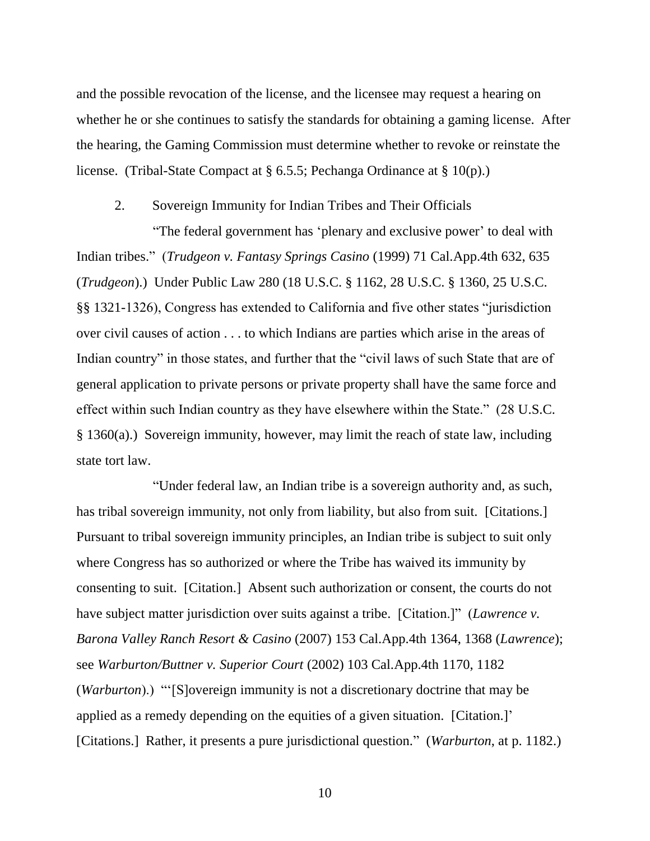and the possible revocation of the license, and the licensee may request a hearing on whether he or she continues to satisfy the standards for obtaining a gaming license. After the hearing, the Gaming Commission must determine whether to revoke or reinstate the license. (Tribal-State Compact at § 6.5.5; Pechanga Ordinance at § 10(p).)

### 2. Sovereign Immunity for Indian Tribes and Their Officials

"The federal government has 'plenary and exclusive power' to deal with Indian tribes." (*Trudgeon v. Fantasy Springs Casino* (1999) 71 Cal.App.4th 632, 635 (*Trudgeon*).) Under Public Law 280 (18 U.S.C. § 1162, 28 U.S.C. § 1360, 25 U.S.C. §§ 1321-1326), Congress has extended to California and five other states "jurisdiction over civil causes of action . . . to which Indians are parties which arise in the areas of Indian country" in those states, and further that the "civil laws of such State that are of general application to private persons or private property shall have the same force and effect within such Indian country as they have elsewhere within the State." (28 U.S.C. § 1360(a).) Sovereign immunity, however, may limit the reach of state law, including state tort law.

"Under federal law, an Indian tribe is a sovereign authority and, as such, has tribal sovereign immunity, not only from liability, but also from suit. [Citations.] Pursuant to tribal sovereign immunity principles, an Indian tribe is subject to suit only where Congress has so authorized or where the Tribe has waived its immunity by consenting to suit. [Citation.] Absent such authorization or consent, the courts do not have subject matter jurisdiction over suits against a tribe. [Citation.]" (*Lawrence v. Barona Valley Ranch Resort & Casino* (2007) 153 Cal.App.4th 1364, 1368 (*Lawrence*); see *Warburton/Buttner v. Superior Court* (2002) 103 Cal.App.4th 1170, 1182 (*Warburton*).) "'[S]overeign immunity is not a discretionary doctrine that may be applied as a remedy depending on the equities of a given situation. [Citation.]' [Citations.] Rather, it presents a pure jurisdictional question." (*Warburton*, at p. 1182.)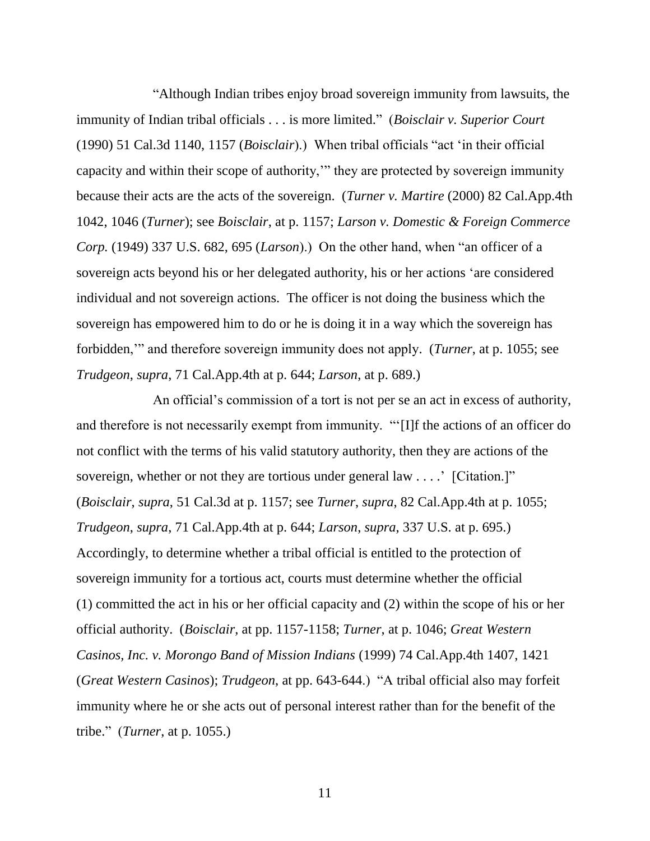"Although Indian tribes enjoy broad sovereign immunity from lawsuits, the immunity of Indian tribal officials . . . is more limited." (*Boisclair v. Superior Court* (1990) 51 Cal.3d 1140, 1157 (*Boisclair*).) When tribal officials "act 'in their official capacity and within their scope of authority,'" they are protected by sovereign immunity because their acts are the acts of the sovereign. (*Turner v. Martire* (2000) 82 Cal.App.4th 1042, 1046 (*Turner*); see *Boisclair*, at p. 1157; *Larson v. Domestic & Foreign Commerce Corp.* (1949) 337 U.S. 682, 695 (*Larson*).) On the other hand, when "an officer of a sovereign acts beyond his or her delegated authority, his or her actions 'are considered individual and not sovereign actions. The officer is not doing the business which the sovereign has empowered him to do or he is doing it in a way which the sovereign has forbidden,'" and therefore sovereign immunity does not apply. (*Turner*, at p. 1055; see *Trudgeon*, *supra*, 71 Cal.App.4th at p. 644; *Larson*, at p. 689.)

An official's commission of a tort is not per se an act in excess of authority, and therefore is not necessarily exempt from immunity. "'[I]f the actions of an officer do not conflict with the terms of his valid statutory authority, then they are actions of the sovereign, whether or not they are tortious under general law . . . . ' [Citation.]" (*Boisclair*, *supra*, 51 Cal.3d at p. 1157; see *Turner*, *supra*, 82 Cal.App.4th at p. 1055; *Trudgeon*, *supra*, 71 Cal.App.4th at p. 644; *Larson*, *supra*, 337 U.S. at p. 695.) Accordingly, to determine whether a tribal official is entitled to the protection of sovereign immunity for a tortious act, courts must determine whether the official (1) committed the act in his or her official capacity and (2) within the scope of his or her official authority. (*Boisclair*, at pp. 1157-1158; *Turner*, at p. 1046; *Great Western Casinos, Inc. v. Morongo Band of Mission Indians* (1999) 74 Cal.App.4th 1407, 1421 (*Great Western Casinos*); *Trudgeon*, at pp. 643-644.) "A tribal official also may forfeit immunity where he or she acts out of personal interest rather than for the benefit of the tribe." (*Turner*, at p. 1055.)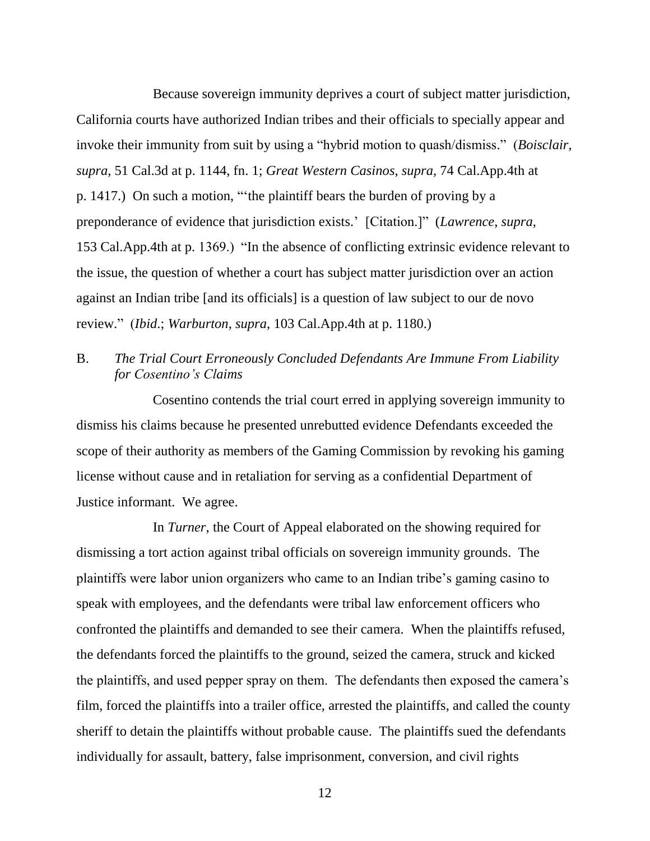Because sovereign immunity deprives a court of subject matter jurisdiction, California courts have authorized Indian tribes and their officials to specially appear and invoke their immunity from suit by using a "hybrid motion to quash/dismiss." (*Boisclair*, *supra*, 51 Cal.3d at p. 1144, fn. 1; *Great Western Casinos*, *supra*, 74 Cal.App.4th at p. 1417.) On such a motion, "'the plaintiff bears the burden of proving by a preponderance of evidence that jurisdiction exists.' [Citation.]" (*Lawrence*, *supra*, 153 Cal.App.4th at p. 1369.) "In the absence of conflicting extrinsic evidence relevant to the issue, the question of whether a court has subject matter jurisdiction over an action against an Indian tribe [and its officials] is a question of law subject to our de novo review." (*Ibid*.; *Warburton*, *supra*, 103 Cal.App.4th at p. 1180.)

## B. *The Trial Court Erroneously Concluded Defendants Are Immune From Liability for Cosentino's Claims*

Cosentino contends the trial court erred in applying sovereign immunity to dismiss his claims because he presented unrebutted evidence Defendants exceeded the scope of their authority as members of the Gaming Commission by revoking his gaming license without cause and in retaliation for serving as a confidential Department of Justice informant. We agree.

In *Turner*, the Court of Appeal elaborated on the showing required for dismissing a tort action against tribal officials on sovereign immunity grounds. The plaintiffs were labor union organizers who came to an Indian tribe's gaming casino to speak with employees, and the defendants were tribal law enforcement officers who confronted the plaintiffs and demanded to see their camera. When the plaintiffs refused, the defendants forced the plaintiffs to the ground, seized the camera, struck and kicked the plaintiffs, and used pepper spray on them. The defendants then exposed the camera's film, forced the plaintiffs into a trailer office, arrested the plaintiffs, and called the county sheriff to detain the plaintiffs without probable cause. The plaintiffs sued the defendants individually for assault, battery, false imprisonment, conversion, and civil rights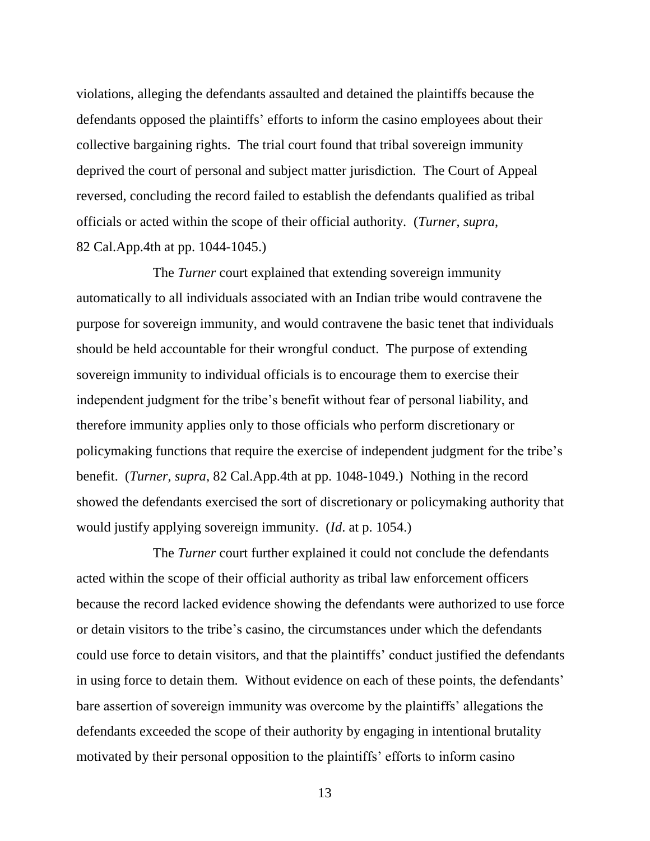violations, alleging the defendants assaulted and detained the plaintiffs because the defendants opposed the plaintiffs' efforts to inform the casino employees about their collective bargaining rights. The trial court found that tribal sovereign immunity deprived the court of personal and subject matter jurisdiction. The Court of Appeal reversed, concluding the record failed to establish the defendants qualified as tribal officials or acted within the scope of their official authority. (*Turner*, *supra*, 82 Cal.App.4th at pp. 1044-1045.)

The *Turner* court explained that extending sovereign immunity automatically to all individuals associated with an Indian tribe would contravene the purpose for sovereign immunity, and would contravene the basic tenet that individuals should be held accountable for their wrongful conduct. The purpose of extending sovereign immunity to individual officials is to encourage them to exercise their independent judgment for the tribe's benefit without fear of personal liability, and therefore immunity applies only to those officials who perform discretionary or policymaking functions that require the exercise of independent judgment for the tribe's benefit. (*Turner*, *supra*, 82 Cal.App.4th at pp. 1048-1049.) Nothing in the record showed the defendants exercised the sort of discretionary or policymaking authority that would justify applying sovereign immunity. (*Id*. at p. 1054.)

The *Turner* court further explained it could not conclude the defendants acted within the scope of their official authority as tribal law enforcement officers because the record lacked evidence showing the defendants were authorized to use force or detain visitors to the tribe's casino, the circumstances under which the defendants could use force to detain visitors, and that the plaintiffs' conduct justified the defendants in using force to detain them. Without evidence on each of these points, the defendants' bare assertion of sovereign immunity was overcome by the plaintiffs' allegations the defendants exceeded the scope of their authority by engaging in intentional brutality motivated by their personal opposition to the plaintiffs' efforts to inform casino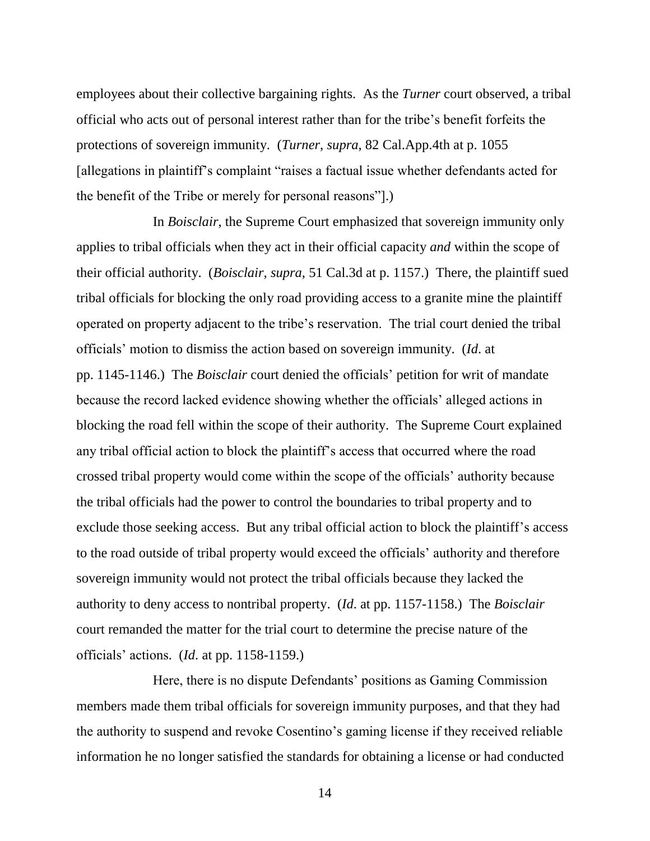employees about their collective bargaining rights. As the *Turner* court observed, a tribal official who acts out of personal interest rather than for the tribe's benefit forfeits the protections of sovereign immunity. (*Turner*, *supra*, 82 Cal.App.4th at p. 1055 [allegations in plaintiff's complaint "raises a factual issue whether defendants acted for the benefit of the Tribe or merely for personal reasons"].)

In *Boisclair*, the Supreme Court emphasized that sovereign immunity only applies to tribal officials when they act in their official capacity *and* within the scope of their official authority. (*Boisclair*, *supra*, 51 Cal.3d at p. 1157.) There, the plaintiff sued tribal officials for blocking the only road providing access to a granite mine the plaintiff operated on property adjacent to the tribe's reservation. The trial court denied the tribal officials' motion to dismiss the action based on sovereign immunity. (*Id*. at pp. 1145-1146.) The *Boisclair* court denied the officials' petition for writ of mandate because the record lacked evidence showing whether the officials' alleged actions in blocking the road fell within the scope of their authority. The Supreme Court explained any tribal official action to block the plaintiff's access that occurred where the road crossed tribal property would come within the scope of the officials' authority because the tribal officials had the power to control the boundaries to tribal property and to exclude those seeking access. But any tribal official action to block the plaintiff's access to the road outside of tribal property would exceed the officials' authority and therefore sovereign immunity would not protect the tribal officials because they lacked the authority to deny access to nontribal property. (*Id*. at pp. 1157-1158.) The *Boisclair* court remanded the matter for the trial court to determine the precise nature of the officials' actions. (*Id*. at pp. 1158-1159.)

Here, there is no dispute Defendants' positions as Gaming Commission members made them tribal officials for sovereign immunity purposes, and that they had the authority to suspend and revoke Cosentino's gaming license if they received reliable information he no longer satisfied the standards for obtaining a license or had conducted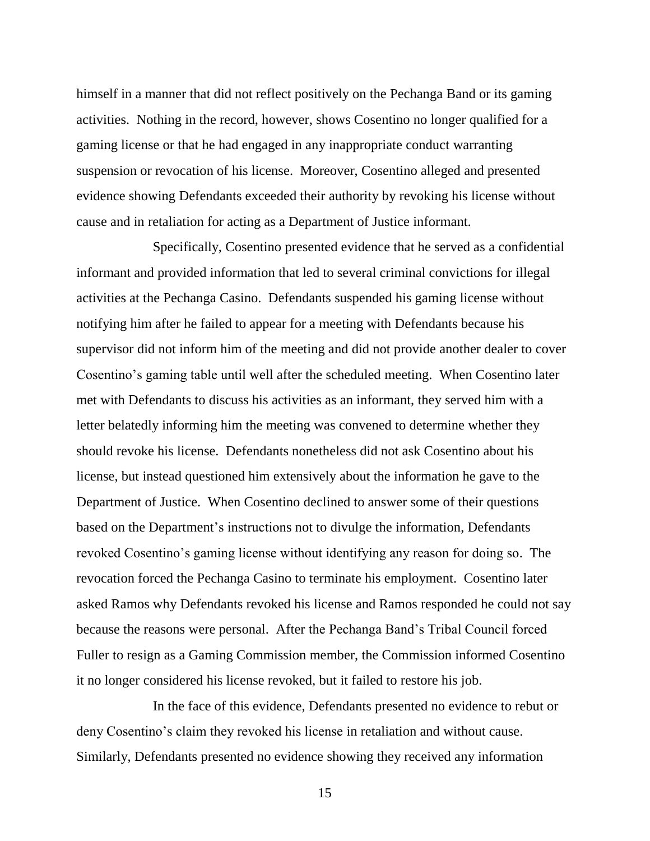himself in a manner that did not reflect positively on the Pechanga Band or its gaming activities. Nothing in the record, however, shows Cosentino no longer qualified for a gaming license or that he had engaged in any inappropriate conduct warranting suspension or revocation of his license. Moreover, Cosentino alleged and presented evidence showing Defendants exceeded their authority by revoking his license without cause and in retaliation for acting as a Department of Justice informant.

Specifically, Cosentino presented evidence that he served as a confidential informant and provided information that led to several criminal convictions for illegal activities at the Pechanga Casino. Defendants suspended his gaming license without notifying him after he failed to appear for a meeting with Defendants because his supervisor did not inform him of the meeting and did not provide another dealer to cover Cosentino's gaming table until well after the scheduled meeting. When Cosentino later met with Defendants to discuss his activities as an informant, they served him with a letter belatedly informing him the meeting was convened to determine whether they should revoke his license. Defendants nonetheless did not ask Cosentino about his license, but instead questioned him extensively about the information he gave to the Department of Justice. When Cosentino declined to answer some of their questions based on the Department's instructions not to divulge the information, Defendants revoked Cosentino's gaming license without identifying any reason for doing so. The revocation forced the Pechanga Casino to terminate his employment. Cosentino later asked Ramos why Defendants revoked his license and Ramos responded he could not say because the reasons were personal. After the Pechanga Band's Tribal Council forced Fuller to resign as a Gaming Commission member, the Commission informed Cosentino it no longer considered his license revoked, but it failed to restore his job.

In the face of this evidence, Defendants presented no evidence to rebut or deny Cosentino's claim they revoked his license in retaliation and without cause. Similarly, Defendants presented no evidence showing they received any information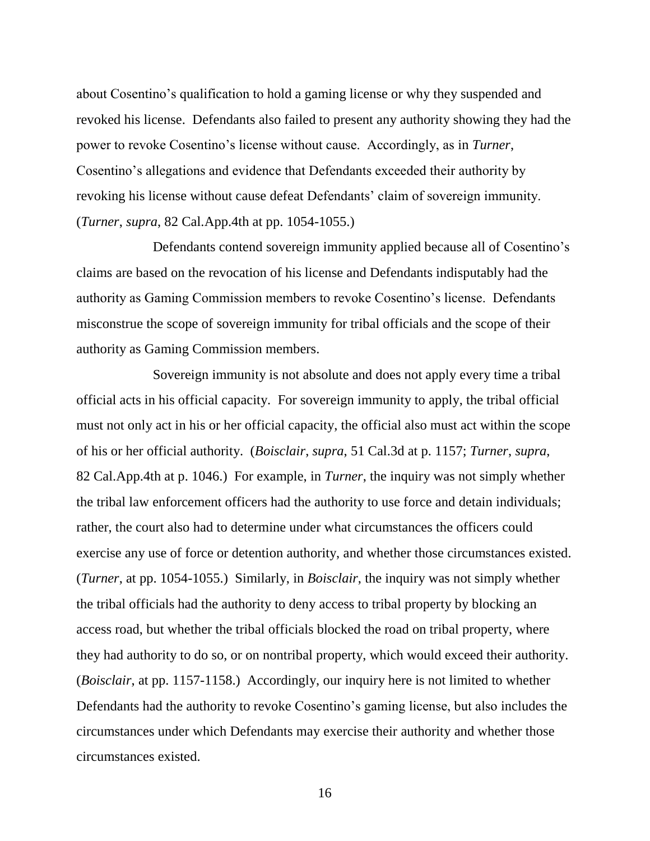about Cosentino's qualification to hold a gaming license or why they suspended and revoked his license. Defendants also failed to present any authority showing they had the power to revoke Cosentino's license without cause. Accordingly, as in *Turner*, Cosentino's allegations and evidence that Defendants exceeded their authority by revoking his license without cause defeat Defendants' claim of sovereign immunity. (*Turner*, *supra*, 82 Cal.App.4th at pp. 1054-1055.)

Defendants contend sovereign immunity applied because all of Cosentino's claims are based on the revocation of his license and Defendants indisputably had the authority as Gaming Commission members to revoke Cosentino's license. Defendants misconstrue the scope of sovereign immunity for tribal officials and the scope of their authority as Gaming Commission members.

Sovereign immunity is not absolute and does not apply every time a tribal official acts in his official capacity. For sovereign immunity to apply, the tribal official must not only act in his or her official capacity, the official also must act within the scope of his or her official authority. (*Boisclair*, *supra*, 51 Cal.3d at p. 1157; *Turner*, *supra*, 82 Cal.App.4th at p. 1046.) For example, in *Turner*, the inquiry was not simply whether the tribal law enforcement officers had the authority to use force and detain individuals; rather, the court also had to determine under what circumstances the officers could exercise any use of force or detention authority, and whether those circumstances existed. (*Turner*, at pp. 1054-1055.) Similarly, in *Boisclair*, the inquiry was not simply whether the tribal officials had the authority to deny access to tribal property by blocking an access road, but whether the tribal officials blocked the road on tribal property, where they had authority to do so, or on nontribal property, which would exceed their authority. (*Boisclair*, at pp. 1157-1158.) Accordingly, our inquiry here is not limited to whether Defendants had the authority to revoke Cosentino's gaming license, but also includes the circumstances under which Defendants may exercise their authority and whether those circumstances existed.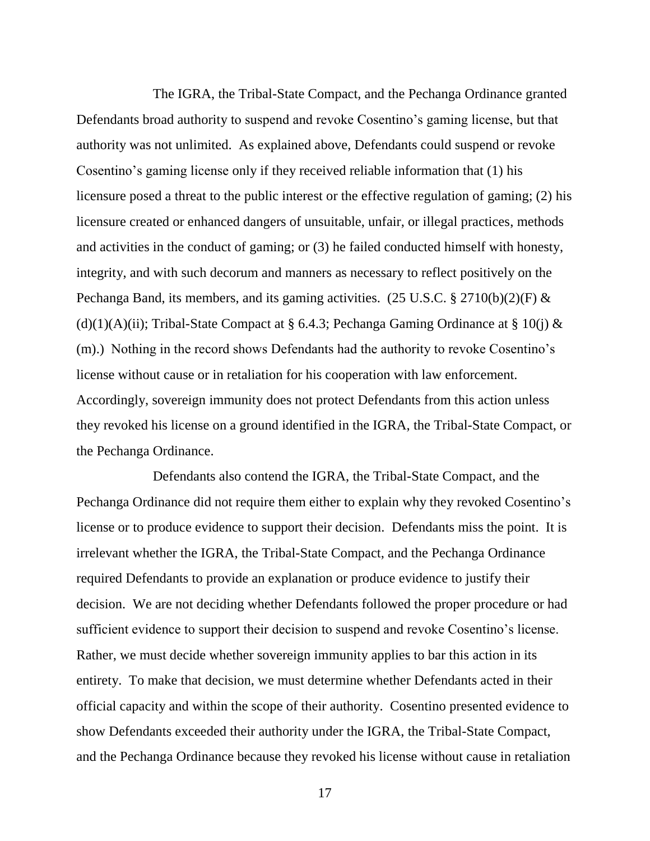The IGRA, the Tribal-State Compact, and the Pechanga Ordinance granted Defendants broad authority to suspend and revoke Cosentino's gaming license, but that authority was not unlimited. As explained above, Defendants could suspend or revoke Cosentino's gaming license only if they received reliable information that (1) his licensure posed a threat to the public interest or the effective regulation of gaming; (2) his licensure created or enhanced dangers of unsuitable, unfair, or illegal practices, methods and activities in the conduct of gaming; or (3) he failed conducted himself with honesty, integrity, and with such decorum and manners as necessary to reflect positively on the Pechanga Band, its members, and its gaming activities. (25 U.S.C. § 2710(b)(2)(F) & (d)(1)(A)(ii); Tribal-State Compact at § 6.4.3; Pechanga Gaming Ordinance at § 10(j)  $\&$ (m).) Nothing in the record shows Defendants had the authority to revoke Cosentino's license without cause or in retaliation for his cooperation with law enforcement. Accordingly, sovereign immunity does not protect Defendants from this action unless they revoked his license on a ground identified in the IGRA, the Tribal-State Compact, or the Pechanga Ordinance.

Defendants also contend the IGRA, the Tribal-State Compact, and the Pechanga Ordinance did not require them either to explain why they revoked Cosentino's license or to produce evidence to support their decision. Defendants miss the point. It is irrelevant whether the IGRA, the Tribal-State Compact, and the Pechanga Ordinance required Defendants to provide an explanation or produce evidence to justify their decision. We are not deciding whether Defendants followed the proper procedure or had sufficient evidence to support their decision to suspend and revoke Cosentino's license. Rather, we must decide whether sovereign immunity applies to bar this action in its entirety. To make that decision, we must determine whether Defendants acted in their official capacity and within the scope of their authority. Cosentino presented evidence to show Defendants exceeded their authority under the IGRA, the Tribal-State Compact, and the Pechanga Ordinance because they revoked his license without cause in retaliation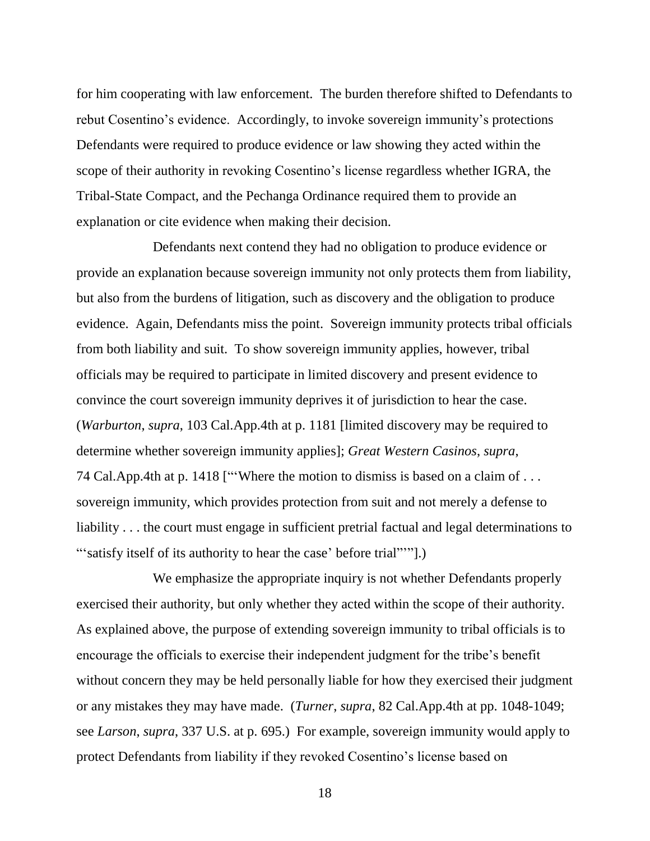for him cooperating with law enforcement. The burden therefore shifted to Defendants to rebut Cosentino's evidence. Accordingly, to invoke sovereign immunity's protections Defendants were required to produce evidence or law showing they acted within the scope of their authority in revoking Cosentino's license regardless whether IGRA, the Tribal-State Compact, and the Pechanga Ordinance required them to provide an explanation or cite evidence when making their decision.

Defendants next contend they had no obligation to produce evidence or provide an explanation because sovereign immunity not only protects them from liability, but also from the burdens of litigation, such as discovery and the obligation to produce evidence. Again, Defendants miss the point. Sovereign immunity protects tribal officials from both liability and suit. To show sovereign immunity applies, however, tribal officials may be required to participate in limited discovery and present evidence to convince the court sovereign immunity deprives it of jurisdiction to hear the case. (*Warburton*, *supra*, 103 Cal.App.4th at p. 1181 [limited discovery may be required to determine whether sovereign immunity applies]; *Great Western Casinos*, *supra*, 74 Cal.App.4th at p. 1418 ["'Where the motion to dismiss is based on a claim of . . . sovereign immunity, which provides protection from suit and not merely a defense to liability . . . the court must engage in sufficient pretrial factual and legal determinations to "'satisfy itself of its authority to hear the case' before trial"'".)

We emphasize the appropriate inquiry is not whether Defendants properly exercised their authority, but only whether they acted within the scope of their authority. As explained above, the purpose of extending sovereign immunity to tribal officials is to encourage the officials to exercise their independent judgment for the tribe's benefit without concern they may be held personally liable for how they exercised their judgment or any mistakes they may have made. (*Turner*, *supra*, 82 Cal.App.4th at pp. 1048-1049; see *Larson*, *supra*, 337 U.S. at p. 695.) For example, sovereign immunity would apply to protect Defendants from liability if they revoked Cosentino's license based on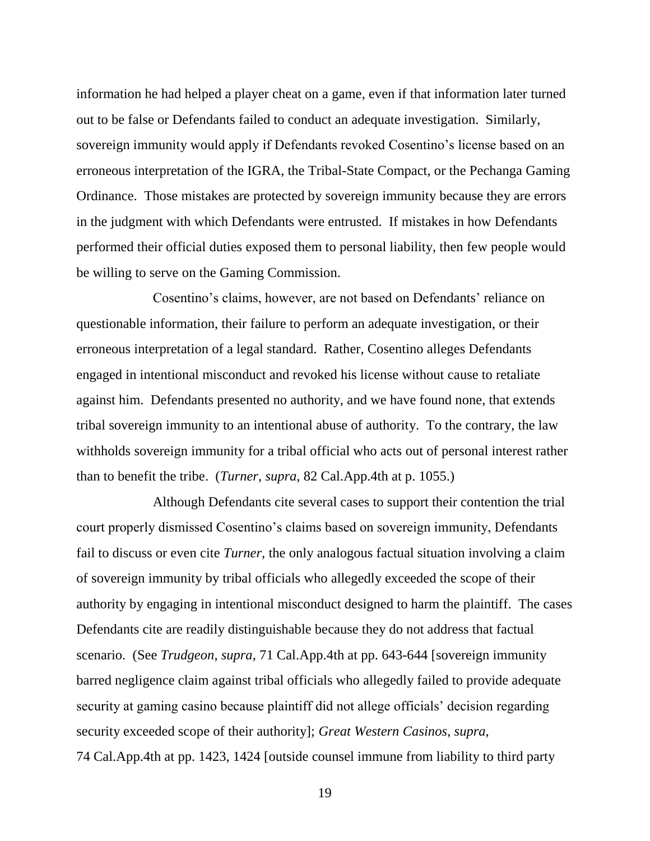information he had helped a player cheat on a game, even if that information later turned out to be false or Defendants failed to conduct an adequate investigation. Similarly, sovereign immunity would apply if Defendants revoked Cosentino's license based on an erroneous interpretation of the IGRA, the Tribal-State Compact, or the Pechanga Gaming Ordinance. Those mistakes are protected by sovereign immunity because they are errors in the judgment with which Defendants were entrusted. If mistakes in how Defendants performed their official duties exposed them to personal liability, then few people would be willing to serve on the Gaming Commission.

Cosentino's claims, however, are not based on Defendants' reliance on questionable information, their failure to perform an adequate investigation, or their erroneous interpretation of a legal standard. Rather, Cosentino alleges Defendants engaged in intentional misconduct and revoked his license without cause to retaliate against him. Defendants presented no authority, and we have found none, that extends tribal sovereign immunity to an intentional abuse of authority. To the contrary, the law withholds sovereign immunity for a tribal official who acts out of personal interest rather than to benefit the tribe. (*Turner*, *supra*, 82 Cal.App.4th at p. 1055.)

Although Defendants cite several cases to support their contention the trial court properly dismissed Cosentino's claims based on sovereign immunity, Defendants fail to discuss or even cite *Turner*, the only analogous factual situation involving a claim of sovereign immunity by tribal officials who allegedly exceeded the scope of their authority by engaging in intentional misconduct designed to harm the plaintiff. The cases Defendants cite are readily distinguishable because they do not address that factual scenario. (See *Trudgeon*, *supra*, 71 Cal.App.4th at pp. 643-644 [sovereign immunity barred negligence claim against tribal officials who allegedly failed to provide adequate security at gaming casino because plaintiff did not allege officials' decision regarding security exceeded scope of their authority]; *Great Western Casinos*, *supra*, 74 Cal.App.4th at pp. 1423, 1424 [outside counsel immune from liability to third party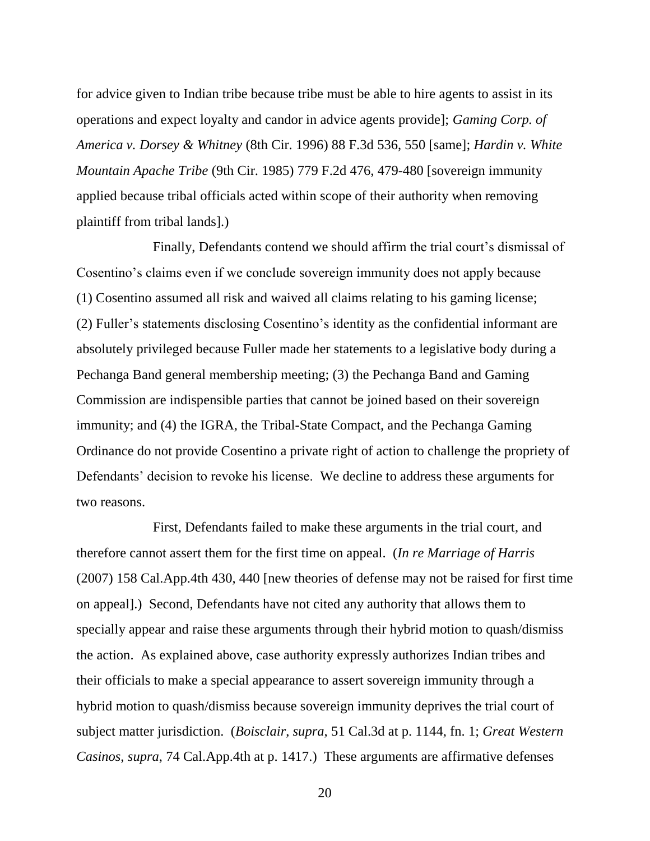for advice given to Indian tribe because tribe must be able to hire agents to assist in its operations and expect loyalty and candor in advice agents provide]; *Gaming Corp. of America v. Dorsey & Whitney* (8th Cir. 1996) 88 F.3d 536, 550 [same]; *Hardin v. White Mountain Apache Tribe* (9th Cir. 1985) 779 F.2d 476, 479-480 [sovereign immunity applied because tribal officials acted within scope of their authority when removing plaintiff from tribal lands].)

Finally, Defendants contend we should affirm the trial court's dismissal of Cosentino's claims even if we conclude sovereign immunity does not apply because (1) Cosentino assumed all risk and waived all claims relating to his gaming license; (2) Fuller's statements disclosing Cosentino's identity as the confidential informant are absolutely privileged because Fuller made her statements to a legislative body during a Pechanga Band general membership meeting; (3) the Pechanga Band and Gaming Commission are indispensible parties that cannot be joined based on their sovereign immunity; and (4) the IGRA, the Tribal-State Compact, and the Pechanga Gaming Ordinance do not provide Cosentino a private right of action to challenge the propriety of Defendants' decision to revoke his license. We decline to address these arguments for two reasons.

First, Defendants failed to make these arguments in the trial court, and therefore cannot assert them for the first time on appeal. (*In re Marriage of Harris* (2007) 158 Cal.App.4th 430, 440 [new theories of defense may not be raised for first time on appeal].) Second, Defendants have not cited any authority that allows them to specially appear and raise these arguments through their hybrid motion to quash/dismiss the action. As explained above, case authority expressly authorizes Indian tribes and their officials to make a special appearance to assert sovereign immunity through a hybrid motion to quash/dismiss because sovereign immunity deprives the trial court of subject matter jurisdiction. (*Boisclair*, *supra*, 51 Cal.3d at p. 1144, fn. 1; *Great Western Casinos*, *supra*, 74 Cal.App.4th at p. 1417.) These arguments are affirmative defenses